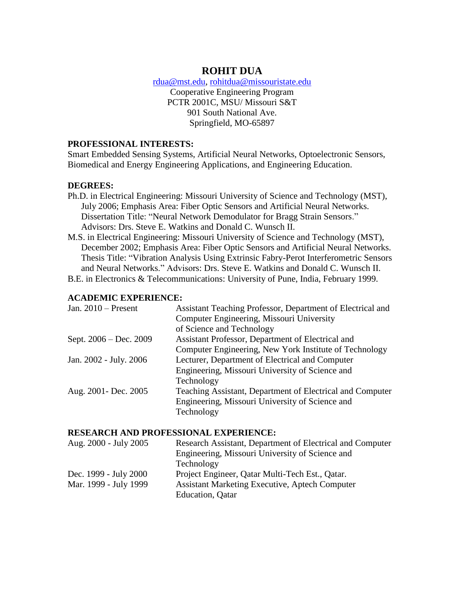# **ROHIT DUA**

[rdua@mst.edu,](mailto:rdua@mst.edu) [rohitdua@missouristate.edu](mailto:rohitdua@missouristate.edu)

Cooperative Engineering Program PCTR 2001C, MSU/ Missouri S&T 901 South National Ave. Springfield, MO-65897

#### **PROFESSIONAL INTERESTS:**

Smart Embedded Sensing Systems, Artificial Neural Networks, Optoelectronic Sensors, Biomedical and Energy Engineering Applications, and Engineering Education.

## **DEGREES:**

- Ph.D. in Electrical Engineering: Missouri University of Science and Technology (MST), July 2006; Emphasis Area: Fiber Optic Sensors and Artificial Neural Networks. Dissertation Title: "Neural Network Demodulator for Bragg Strain Sensors." Advisors: Drs. Steve E. Watkins and Donald C. Wunsch II.
- M.S. in Electrical Engineering: Missouri University of Science and Technology (MST), December 2002; Emphasis Area: Fiber Optic Sensors and Artificial Neural Networks. Thesis Title: "Vibration Analysis Using Extrinsic Fabry-Perot Interferometric Sensors and Neural Networks." Advisors: Drs. Steve E. Watkins and Donald C. Wunsch II.
- B.E. in Electronics & Telecommunications: University of Pune, India, February 1999.

#### **ACADEMIC EXPERIENCE:**

| Assistant Teaching Professor, Department of Electrical and |
|------------------------------------------------------------|
| Computer Engineering, Missouri University                  |
| of Science and Technology                                  |
| Assistant Professor, Department of Electrical and          |
| Computer Engineering, New York Institute of Technology     |
| Lecturer, Department of Electrical and Computer            |
| Engineering, Missouri University of Science and            |
| Technology                                                 |
| Teaching Assistant, Department of Electrical and Computer  |
| Engineering, Missouri University of Science and            |
| Technology                                                 |
|                                                            |

#### **RESEARCH AND PROFESSIONAL EXPERIENCE:**

| Research Assistant, Department of Electrical and Computer |
|-----------------------------------------------------------|
| Engineering, Missouri University of Science and           |
| Technology                                                |
| Project Engineer, Qatar Multi-Tech Est., Qatar.           |
| <b>Assistant Marketing Executive, Aptech Computer</b>     |
| <b>Education</b> , Qatar                                  |
|                                                           |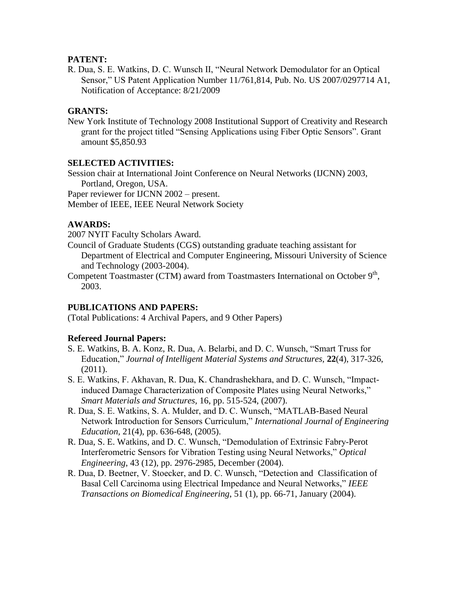#### **PATENT:**

R. Dua, S. E. Watkins, D. C. Wunsch II, "Neural Network Demodulator for an Optical Sensor," US Patent Application Number 11/761,814, Pub. No. US 2007/0297714 A1, Notification of Acceptance: 8/21/2009

## **GRANTS:**

New York Institute of Technology 2008 Institutional Support of Creativity and Research grant for the project titled "Sensing Applications using Fiber Optic Sensors". Grant amount \$5,850.93

#### **SELECTED ACTIVITIES:**

Session chair at International Joint Conference on Neural Networks (IJCNN) 2003, Portland, Oregon, USA. Paper reviewer for IJCNN 2002 – present.

Member of IEEE, IEEE Neural Network Society

## **AWARDS:**

2007 NYIT Faculty Scholars Award.

- Council of Graduate Students (CGS) outstanding graduate teaching assistant for Department of Electrical and Computer Engineering, Missouri University of Science and Technology (2003-2004).
- Competent Toastmaster (CTM) award from Toastmasters International on October  $9<sup>th</sup>$ , 2003.

#### **PUBLICATIONS AND PAPERS:**

(Total Publications: 4 Archival Papers, and 9 Other Papers)

#### **Refereed Journal Papers:**

- S. E. Watkins, B. A. Konz, R. Dua, A. Belarbi, and D. C. Wunsch, "Smart Truss for Education," *Journal of Intelligent Material Systems and Structures,* **22**(4), 317-326, (2011).
- S. E. Watkins, F. Akhavan, R. Dua, K. Chandrashekhara, and D. C. Wunsch, "Impactinduced Damage Characterization of Composite Plates using Neural Networks," *Smart Materials and Structures,* 16, pp. 515-524, (2007).
- R. Dua, S. E. Watkins, S. A. Mulder, and D. C. Wunsch, "MATLAB-Based Neural Network Introduction for Sensors Curriculum," *International Journal of Engineering Education,* 21(4), pp. 636-648, (2005).
- R. Dua, S. E. Watkins, and D. C. Wunsch, "Demodulation of Extrinsic Fabry-Perot Interferometric Sensors for Vibration Testing using Neural Networks," *Optical Engineering*, 43 (12), pp. 2976-2985, December (2004).
- R. Dua, D. Beetner, V. Stoecker, and D. C. Wunsch, "Detection and Classification of Basal Cell Carcinoma using Electrical Impedance and Neural Networks," *IEEE Transactions on Biomedical Engineering*, 51 (1), pp. 66-71, January (2004).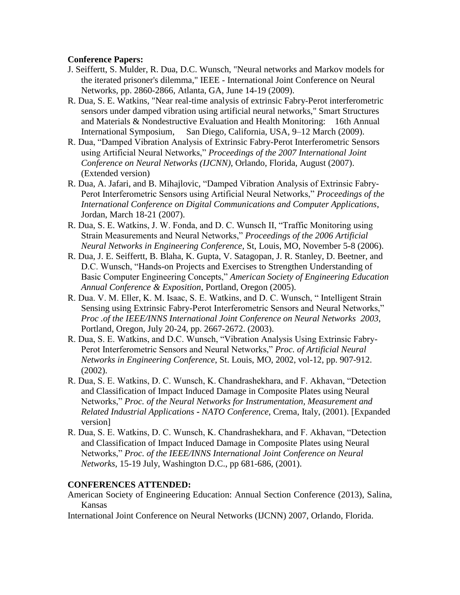## **Conference Papers:**

- J. Seiffertt, S. Mulder, R. Dua, D.C. Wunsch, "Neural networks and Markov models for the iterated prisoner's dilemma," IEEE - International Joint Conference on Neural Networks, pp. 2860-2866, Atlanta, GA, June 14-19 (2009).
- R. Dua, S. E. Watkins, "Near real-time analysis of extrinsic Fabry-Perot interferometric sensors under damped vibration using artificial neural networks," Smart Structures and Materials & Nondestructive Evaluation and Health Monitoring: 16th Annual International Symposium, San Diego, California, USA, 9–12 March (2009).
- R. Dua, "Damped Vibration Analysis of Extrinsic Fabry-Perot Interferometric Sensors using Artificial Neural Networks," *Proceedings of the 2007 International Joint Conference on Neural Networks (IJCNN)*, Orlando, Florida, August (2007). (Extended version)
- R. Dua, A. Jafari, and B. Mihajlovic, "Damped Vibration Analysis of Extrinsic Fabry-Perot Interferometric Sensors using Artificial Neural Networks," *Proceedings of the International Conference on Digital Communications and Computer Applications*, Jordan, March 18-21 (2007).
- R. Dua, S. E. Watkins, J. W. Fonda, and D. C. Wunsch II, "Traffic Monitoring using Strain Measurements and Neural Networks," *Proceedings of the 2006 Artificial Neural Networks in Engineering Conference*, St, Louis, MO, November 5-8 (2006).
- R. Dua, J. E. Seiffertt, B. Blaha, K. Gupta, V. Satagopan, J. R. Stanley, D. Beetner, and D.C. Wunsch, "Hands-on Projects and Exercises to Strengthen Understanding of Basic Computer Engineering Concepts," *American Society of Engineering Education Annual Conference & Exposition*, Portland, Oregon (2005).
- R. Dua. V. M. Eller, K. M. Isaac, S. E. Watkins, and D. C. Wunsch, " Intelligent Strain Sensing using Extrinsic Fabry-Perot Interferometric Sensors and Neural Networks," *Proc .of the IEEE/INNS International Joint Conference on Neural Networks 2003*, Portland, Oregon, July 20-24, pp. 2667-2672. (2003).
- R. Dua, S. E. Watkins, and D.C. Wunsch, "Vibration Analysis Using Extrinsic Fabry-Perot Interferometric Sensors and Neural Networks," *Proc. of Artificial Neural Networks in Engineering Conference*, St. Louis, MO, 2002, vol-12, pp. 907-912. (2002).
- R. Dua, S. E. Watkins, D. C. Wunsch, K. Chandrashekhara, and F. Akhavan, "Detection and Classification of Impact Induced Damage in Composite Plates using Neural Networks," *Proc. of the Neural Networks for Instrumentation, Measurement and Related Industrial Applications* **-** *NATO Conference*, Crema, Italy, (2001). [Expanded version]
- R. Dua, S. E. Watkins, D. C. Wunsch, K. Chandrashekhara, and F. Akhavan, "Detection and Classification of Impact Induced Damage in Composite Plates using Neural Networks," *Proc. of the IEEE/INNS International Joint Conference on Neural Networks*, 15-19 July, Washington D.C., pp 681-686, (2001).

## **CONFERENCES ATTENDED:**

- American Society of Engineering Education: Annual Section Conference (2013), Salina, Kansas
- International Joint Conference on Neural Networks (IJCNN) 2007, Orlando, Florida.